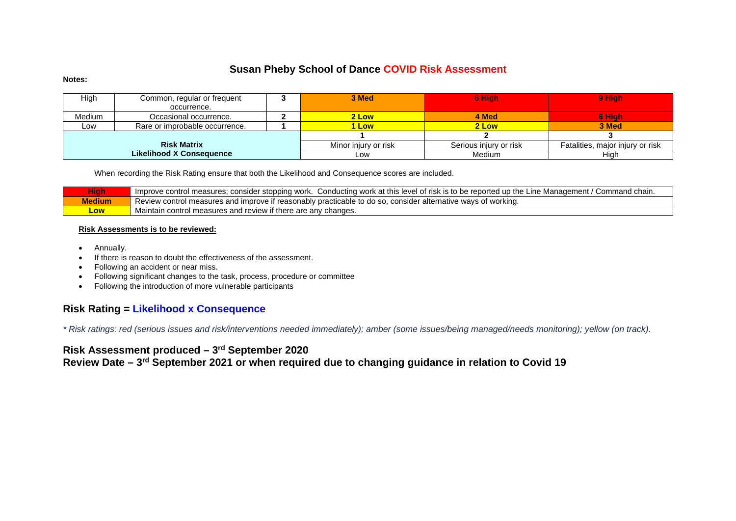# **Susan Pheby School of Dance COVID Risk Assessment**

#### **Notes:**

| High   | Common, regular or frequent     | 3 Med                | 6 High                 | 9 High                           |
|--------|---------------------------------|----------------------|------------------------|----------------------------------|
|        | occurrence.                     |                      |                        |                                  |
| Medium | Occasional occurrence.          | 2 Low                | 4 Med                  | 6 High                           |
| Low    | Rare or improbable occurrence.  | 1 Low                | 2 Low                  | 3 Med                            |
|        |                                 |                      |                        |                                  |
|        | <b>Risk Matrix</b>              | Minor injury or risk | Serious injury or risk | Fatalities, major injury or risk |
|        | <b>Likelihood X Consequence</b> | Low                  | <b>Medium</b>          | Hiah                             |

When recording the Risk Rating ensure that both the Likelihood and Consequence scores are included.

| <b>High</b>   | ≅r stopping work.<br>.  Conducting work .<br>I of risk is to be reported<br>Command chain.<br>Improve control<br>. Manaαement ⊦<br>measures:<br>at this:<br>level<br><b>une</b><br>consider<br>un th<br>. . |
|---------------|-------------------------------------------------------------------------------------------------------------------------------------------------------------------------------------------------------------|
| <b>Medium</b> | I measures and improve if reasonably practicable t<br>Review controi<br>. consider alternative :<br>' workina.<br>ticable to do so.<br>wavs or '                                                            |
| LOW           | Maintain<br>n control measures and review if <b>i</b> .<br><sup>'</sup> changes.<br>f there are anv                                                                                                         |

### **Risk Assessments is to be reviewed:**

- Annually.
- If there is reason to doubt the effectiveness of the assessment.
- Following an accident or near miss.
- Following significant changes to the task, process, procedure or committee
- Following the introduction of more vulnerable participants

### **Risk Rating = Likelihood x Consequence**

*\* Risk ratings: red (serious issues and risk/interventions needed immediately); amber (some issues/being managed/needs monitoring); yellow (on track).*

# **Risk Assessment produced – 3rd September 2020**

**Review Date – 3rd September 2021 or when required due to changing guidance in relation to Covid 19**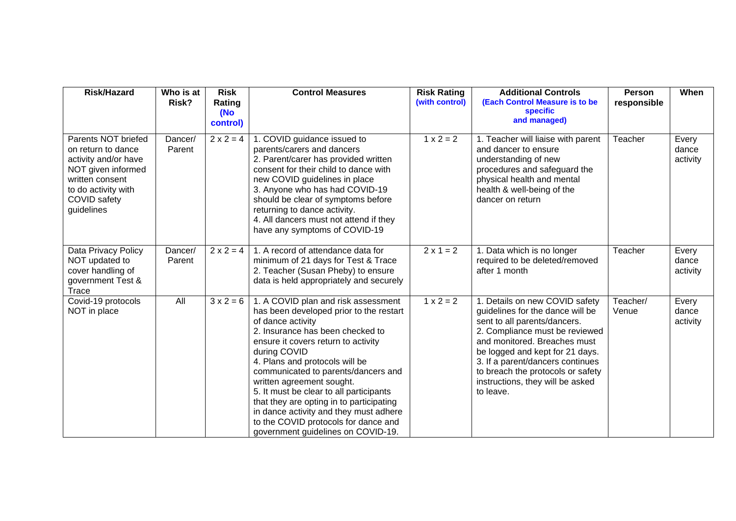| <b>Risk/Hazard</b>                                                                                                                                              | Who is at<br>Risk? | <b>Risk</b><br>Rating<br>(No<br>control) | <b>Control Measures</b>                                                                                                                                                                                                                                                                                                                                                                                                                                                                                             | <b>Risk Rating</b><br>(with control) | <b>Additional Controls</b><br>(Each Control Measure is to be<br><b>specific</b><br>and managed)                                                                                                                                                                                                                                   | <b>Person</b><br>responsible | When                       |
|-----------------------------------------------------------------------------------------------------------------------------------------------------------------|--------------------|------------------------------------------|---------------------------------------------------------------------------------------------------------------------------------------------------------------------------------------------------------------------------------------------------------------------------------------------------------------------------------------------------------------------------------------------------------------------------------------------------------------------------------------------------------------------|--------------------------------------|-----------------------------------------------------------------------------------------------------------------------------------------------------------------------------------------------------------------------------------------------------------------------------------------------------------------------------------|------------------------------|----------------------------|
| Parents NOT briefed<br>on return to dance<br>activity and/or have<br>NOT given informed<br>written consent<br>to do activity with<br>COVID safety<br>guidelines | Dancer/<br>Parent  | $2 \times 2 = 4$                         | 1. COVID guidance issued to<br>parents/carers and dancers<br>2. Parent/carer has provided written<br>consent for their child to dance with<br>new COVID guidelines in place<br>3. Anyone who has had COVID-19<br>should be clear of symptoms before<br>returning to dance activity.<br>4. All dancers must not attend if they<br>have any symptoms of COVID-19                                                                                                                                                      | $1 \times 2 = 2$                     | 1. Teacher will liaise with parent<br>and dancer to ensure<br>understanding of new<br>procedures and safeguard the<br>physical health and mental<br>health & well-being of the<br>dancer on return                                                                                                                                | Teacher                      | Every<br>dance<br>activity |
| Data Privacy Policy<br>NOT updated to<br>cover handling of<br>government Test &<br>Trace                                                                        | Dancer/<br>Parent  | $2 \times 2 = 4$                         | 1. A record of attendance data for<br>minimum of 21 days for Test & Trace<br>2. Teacher (Susan Pheby) to ensure<br>data is held appropriately and securely                                                                                                                                                                                                                                                                                                                                                          | $2 \times 1 = 2$                     | 1. Data which is no longer<br>required to be deleted/removed<br>after 1 month                                                                                                                                                                                                                                                     | Teacher                      | Every<br>dance<br>activity |
| Covid-19 protocols<br>NOT in place                                                                                                                              | All                | $3 \times 2 = 6$                         | 1. A COVID plan and risk assessment<br>has been developed prior to the restart<br>of dance activity<br>2. Insurance has been checked to<br>ensure it covers return to activity<br>during COVID<br>4. Plans and protocols will be<br>communicated to parents/dancers and<br>written agreement sought.<br>5. It must be clear to all participants<br>that they are opting in to participating<br>in dance activity and they must adhere<br>to the COVID protocols for dance and<br>government guidelines on COVID-19. | $1 x 2 = 2$                          | 1. Details on new COVID safety<br>guidelines for the dance will be<br>sent to all parents/dancers.<br>2. Compliance must be reviewed<br>and monitored. Breaches must<br>be logged and kept for 21 days.<br>3. If a parent/dancers continues<br>to breach the protocols or safety<br>instructions, they will be asked<br>to leave. | Teacher/<br>Venue            | Every<br>dance<br>activity |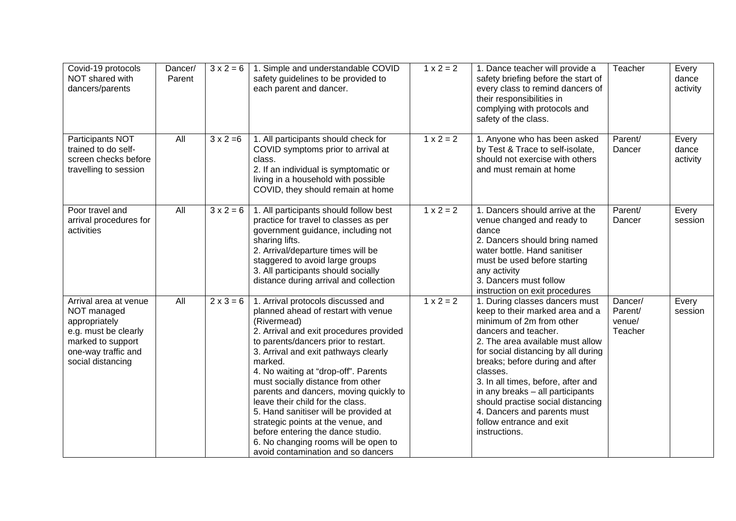| Covid-19 protocols<br>NOT shared with<br>dancers/parents                                                                                       | Dancer/<br>Parent | $3 \times 2 = 6$ | 1. Simple and understandable COVID<br>safety guidelines to be provided to<br>each parent and dancer.                                                                                                                                                                                                                                                                                                                                                                                                                                                                                        | $1 \times 2 = 2$ | 1. Dance teacher will provide a<br>safety briefing before the start of<br>every class to remind dancers of<br>their responsibilities in<br>complying with protocols and<br>safety of the class.                                                                                                                                                                                                                                            | Teacher                                 | Every<br>dance<br>activity |
|------------------------------------------------------------------------------------------------------------------------------------------------|-------------------|------------------|---------------------------------------------------------------------------------------------------------------------------------------------------------------------------------------------------------------------------------------------------------------------------------------------------------------------------------------------------------------------------------------------------------------------------------------------------------------------------------------------------------------------------------------------------------------------------------------------|------------------|--------------------------------------------------------------------------------------------------------------------------------------------------------------------------------------------------------------------------------------------------------------------------------------------------------------------------------------------------------------------------------------------------------------------------------------------|-----------------------------------------|----------------------------|
| Participants NOT<br>trained to do self-<br>screen checks before<br>travelling to session                                                       | All               | $3 \times 2 = 6$ | 1. All participants should check for<br>COVID symptoms prior to arrival at<br>class.<br>2. If an individual is symptomatic or<br>living in a household with possible<br>COVID, they should remain at home                                                                                                                                                                                                                                                                                                                                                                                   | $1 x 2 = 2$      | 1. Anyone who has been asked<br>by Test & Trace to self-isolate,<br>should not exercise with others<br>and must remain at home                                                                                                                                                                                                                                                                                                             | Parent/<br>Dancer                       | Every<br>dance<br>activity |
| Poor travel and<br>arrival procedures for<br>activities                                                                                        | All               | $3x^2 = 6$       | 1. All participants should follow best<br>practice for travel to classes as per<br>government guidance, including not<br>sharing lifts.<br>2. Arrival/departure times will be<br>staggered to avoid large groups<br>3. All participants should socially<br>distance during arrival and collection                                                                                                                                                                                                                                                                                           | $1 x 2 = 2$      | 1. Dancers should arrive at the<br>venue changed and ready to<br>dance<br>2. Dancers should bring named<br>water bottle. Hand sanitiser<br>must be used before starting<br>any activity<br>3. Dancers must follow<br>instruction on exit procedures                                                                                                                                                                                        | Parent/<br>Dancer                       | Every<br>session           |
| Arrival area at venue<br>NOT managed<br>appropriately<br>e.g. must be clearly<br>marked to support<br>one-way traffic and<br>social distancing | All               | $2 \times 3 = 6$ | 1. Arrival protocols discussed and<br>planned ahead of restart with venue<br>(Rivermead)<br>2. Arrival and exit procedures provided<br>to parents/dancers prior to restart.<br>3. Arrival and exit pathways clearly<br>marked.<br>4. No waiting at "drop-off". Parents<br>must socially distance from other<br>parents and dancers, moving quickly to<br>leave their child for the class.<br>5. Hand sanitiser will be provided at<br>strategic points at the venue, and<br>before entering the dance studio.<br>6. No changing rooms will be open to<br>avoid contamination and so dancers | $1 x 2 = 2$      | 1. During classes dancers must<br>keep to their marked area and a<br>minimum of 2m from other<br>dancers and teacher.<br>2. The area available must allow<br>for social distancing by all during<br>breaks; before during and after<br>classes.<br>3. In all times, before, after and<br>in any breaks - all participants<br>should practise social distancing<br>4. Dancers and parents must<br>follow entrance and exit<br>instructions. | Dancer/<br>Parent/<br>venue/<br>Teacher | Every<br>session           |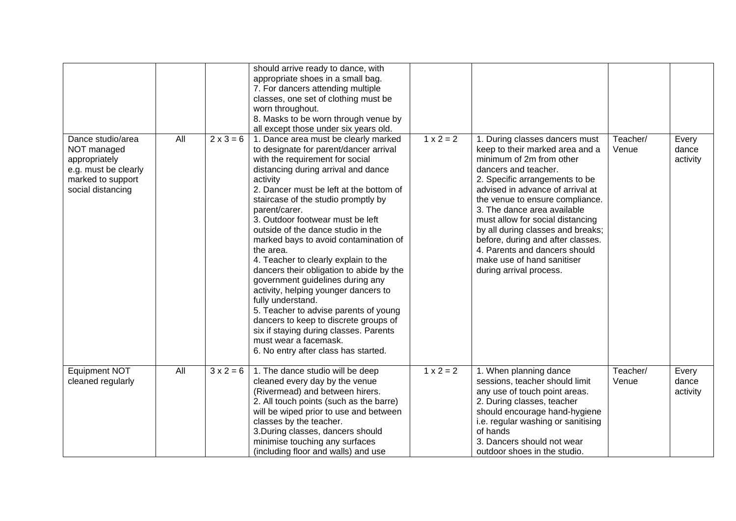|                                                                                                                     |     |                  | should arrive ready to dance, with<br>appropriate shoes in a small bag.<br>7. For dancers attending multiple<br>classes, one set of clothing must be<br>worn throughout.<br>8. Masks to be worn through venue by<br>all except those under six years old.                                                                                                                                                                                                                                                                                                                                                                                                                                                                                                                                 |             |                                                                                                                                                                                                                                                                                                                                                                                                                                                                       |                   |                            |
|---------------------------------------------------------------------------------------------------------------------|-----|------------------|-------------------------------------------------------------------------------------------------------------------------------------------------------------------------------------------------------------------------------------------------------------------------------------------------------------------------------------------------------------------------------------------------------------------------------------------------------------------------------------------------------------------------------------------------------------------------------------------------------------------------------------------------------------------------------------------------------------------------------------------------------------------------------------------|-------------|-----------------------------------------------------------------------------------------------------------------------------------------------------------------------------------------------------------------------------------------------------------------------------------------------------------------------------------------------------------------------------------------------------------------------------------------------------------------------|-------------------|----------------------------|
| Dance studio/area<br>NOT managed<br>appropriately<br>e.g. must be clearly<br>marked to support<br>social distancing | All | $2 \times 3 = 6$ | 1. Dance area must be clearly marked<br>to designate for parent/dancer arrival<br>with the requirement for social<br>distancing during arrival and dance<br>activity<br>2. Dancer must be left at the bottom of<br>staircase of the studio promptly by<br>parent/carer.<br>3. Outdoor footwear must be left<br>outside of the dance studio in the<br>marked bays to avoid contamination of<br>the area.<br>4. Teacher to clearly explain to the<br>dancers their obligation to abide by the<br>government guidelines during any<br>activity, helping younger dancers to<br>fully understand.<br>5. Teacher to advise parents of young<br>dancers to keep to discrete groups of<br>six if staying during classes. Parents<br>must wear a facemask.<br>6. No entry after class has started. | $1 x 2 = 2$ | 1. During classes dancers must<br>keep to their marked area and a<br>minimum of 2m from other<br>dancers and teacher.<br>2. Specific arrangements to be<br>advised in advance of arrival at<br>the venue to ensure compliance.<br>3. The dance area available<br>must allow for social distancing<br>by all during classes and breaks;<br>before, during and after classes.<br>4. Parents and dancers should<br>make use of hand sanitiser<br>during arrival process. | Teacher/<br>Venue | Every<br>dance<br>activity |
| Equipment NOT<br>cleaned regularly                                                                                  | All | $3x2 = 6$        | 1. The dance studio will be deep<br>cleaned every day by the venue<br>(Rivermead) and between hirers.<br>2. All touch points (such as the barre)<br>will be wiped prior to use and between<br>classes by the teacher.<br>3. During classes, dancers should<br>minimise touching any surfaces<br>(including floor and walls) and use                                                                                                                                                                                                                                                                                                                                                                                                                                                       | $1 x 2 = 2$ | 1. When planning dance<br>sessions, teacher should limit<br>any use of touch point areas.<br>2. During classes, teacher<br>should encourage hand-hygiene<br>i.e. regular washing or sanitising<br>of hands<br>3. Dancers should not wear<br>outdoor shoes in the studio.                                                                                                                                                                                              | Teacher/<br>Venue | Every<br>dance<br>activity |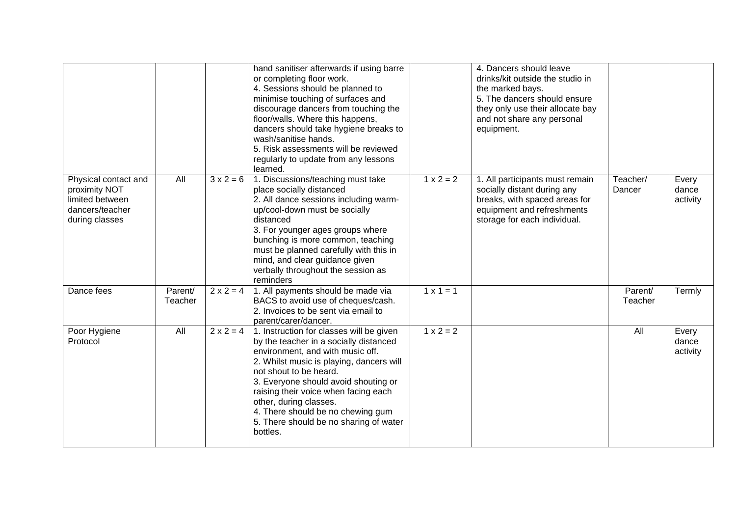|                                                                                               |                    |                  | hand sanitiser afterwards if using barre<br>or completing floor work.<br>4. Sessions should be planned to<br>minimise touching of surfaces and<br>discourage dancers from touching the<br>floor/walls. Where this happens,<br>dancers should take hygiene breaks to<br>wash/sanitise hands.<br>5. Risk assessments will be reviewed<br>regularly to update from any lessons<br>learned.           |                  | 4. Dancers should leave<br>drinks/kit outside the studio in<br>the marked bays.<br>5. The dancers should ensure<br>they only use their allocate bay<br>and not share any personal<br>equipment. |                    |                            |
|-----------------------------------------------------------------------------------------------|--------------------|------------------|---------------------------------------------------------------------------------------------------------------------------------------------------------------------------------------------------------------------------------------------------------------------------------------------------------------------------------------------------------------------------------------------------|------------------|-------------------------------------------------------------------------------------------------------------------------------------------------------------------------------------------------|--------------------|----------------------------|
| Physical contact and<br>proximity NOT<br>limited between<br>dancers/teacher<br>during classes | All                | $3 \times 2 = 6$ | 1. Discussions/teaching must take<br>place socially distanced<br>2. All dance sessions including warm-<br>up/cool-down must be socially<br>distanced<br>3. For younger ages groups where<br>bunching is more common, teaching<br>must be planned carefully with this in<br>mind, and clear guidance given<br>verbally throughout the session as<br>reminders                                      | $1 x 2 = 2$      | 1. All participants must remain<br>socially distant during any<br>breaks, with spaced areas for<br>equipment and refreshments<br>storage for each individual.                                   | Teacher/<br>Dancer | Every<br>dance<br>activity |
| Dance fees                                                                                    | Parent/<br>Teacher | $2 \times 2 = 4$ | 1. All payments should be made via<br>BACS to avoid use of cheques/cash.<br>2. Invoices to be sent via email to<br>parent/carer/dancer.                                                                                                                                                                                                                                                           | $1 \times 1 = 1$ |                                                                                                                                                                                                 | Parent/<br>Teacher | Termly                     |
| Poor Hygiene<br>Protocol                                                                      | All                | $2 \times 2 = 4$ | 1. Instruction for classes will be given<br>by the teacher in a socially distanced<br>environment, and with music off.<br>2. Whilst music is playing, dancers will<br>not shout to be heard.<br>3. Everyone should avoid shouting or<br>raising their voice when facing each<br>other, during classes.<br>4. There should be no chewing gum<br>5. There should be no sharing of water<br>bottles. | $1 \times 2 = 2$ |                                                                                                                                                                                                 | All                | Every<br>dance<br>activity |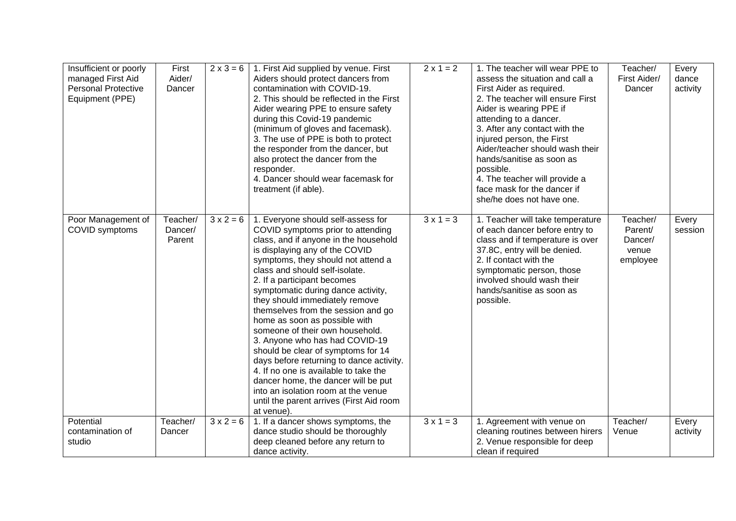| Insufficient or poorly<br>managed First Aid<br><b>Personal Protective</b><br>Equipment (PPE) | First<br>Aider/<br>Dancer     | $2 \times 3 = 6$ | 1. First Aid supplied by venue. First<br>Aiders should protect dancers from<br>contamination with COVID-19.<br>2. This should be reflected in the First<br>Aider wearing PPE to ensure safety<br>during this Covid-19 pandemic<br>(minimum of gloves and facemask).<br>3. The use of PPE is both to protect<br>the responder from the dancer, but<br>also protect the dancer from the<br>responder.<br>4. Dancer should wear facemask for<br>treatment (if able).                                                                                                                                                                                                                                                                                | $2 \times 1 = 2$ | 1. The teacher will wear PPE to<br>assess the situation and call a<br>First Aider as required.<br>2. The teacher will ensure First<br>Aider is wearing PPE if<br>attending to a dancer.<br>3. After any contact with the<br>injured person, the First<br>Aider/teacher should wash their<br>hands/sanitise as soon as<br>possible.<br>4. The teacher will provide a<br>face mask for the dancer if<br>she/he does not have one. | Teacher/<br>First Aider/<br>Dancer                  | Every<br>dance<br>activity |
|----------------------------------------------------------------------------------------------|-------------------------------|------------------|--------------------------------------------------------------------------------------------------------------------------------------------------------------------------------------------------------------------------------------------------------------------------------------------------------------------------------------------------------------------------------------------------------------------------------------------------------------------------------------------------------------------------------------------------------------------------------------------------------------------------------------------------------------------------------------------------------------------------------------------------|------------------|---------------------------------------------------------------------------------------------------------------------------------------------------------------------------------------------------------------------------------------------------------------------------------------------------------------------------------------------------------------------------------------------------------------------------------|-----------------------------------------------------|----------------------------|
| Poor Management of<br>COVID symptoms                                                         | Teacher/<br>Dancer/<br>Parent | $3x^2 = 6$       | 1. Everyone should self-assess for<br>COVID symptoms prior to attending<br>class, and if anyone in the household<br>is displaying any of the COVID<br>symptoms, they should not attend a<br>class and should self-isolate.<br>2. If a participant becomes<br>symptomatic during dance activity,<br>they should immediately remove<br>themselves from the session and go<br>home as soon as possible with<br>someone of their own household.<br>3. Anyone who has had COVID-19<br>should be clear of symptoms for 14<br>days before returning to dance activity.<br>4. If no one is available to take the<br>dancer home, the dancer will be put<br>into an isolation room at the venue<br>until the parent arrives (First Aid room<br>at venue). | $3 \times 1 = 3$ | 1. Teacher will take temperature<br>of each dancer before entry to<br>class and if temperature is over<br>37.8C, entry will be denied.<br>2. If contact with the<br>symptomatic person, those<br>involved should wash their<br>hands/sanitise as soon as<br>possible.                                                                                                                                                           | Teacher/<br>Parent/<br>Dancer/<br>venue<br>employee | Every<br>session           |
| Potential<br>contamination of<br>studio                                                      | Teacher/<br>Dancer            | $3 \times 2 = 6$ | 1. If a dancer shows symptoms, the<br>dance studio should be thoroughly<br>deep cleaned before any return to<br>dance activity.                                                                                                                                                                                                                                                                                                                                                                                                                                                                                                                                                                                                                  | $3 \times 1 = 3$ | 1. Agreement with venue on<br>cleaning routines between hirers<br>2. Venue responsible for deep<br>clean if required                                                                                                                                                                                                                                                                                                            | Teacher/<br>Venue                                   | Every<br>activity          |